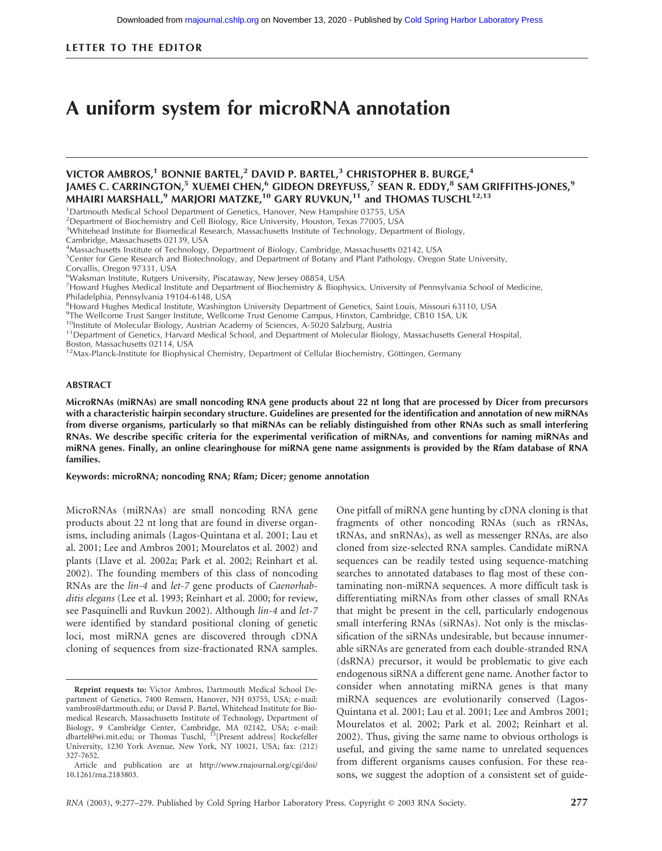#### **LETTER TO THE EDITOR**

## **A uniform system for microRNA annotation**

#### **VICTOR AMBROS,1 BONNIE BARTEL,2 DAVID P. BARTEL,<sup>3</sup> CHRISTOPHER B. BURGE,4 JAMES C. CARRINGTON,5 XUEMEI CHEN,6 GIDEON DREYFUSS,7 SEAN R. EDDY,<sup>8</sup> SAM GRIFFITHS-JONES,9 MHAIRI MARSHALL,9 MARJORI MATZKE,10 GARY RUVKUN,11 and THOMAS TUSCHL12,13**

<sup>1</sup>Dartmouth Medical School Department of Genetics, Hanover, New Hampshire 03755, USA

2 Department of Biochemistry and Cell Biology, Rice University, Houston, Texas 77005, USA

3 Whitehead Institute for Biomedical Research, Massachusetts Institute of Technology, Department of Biology,

Cambridge, Massachusetts 02139, USA

4 Massachusetts Institute of Technology, Department of Biology, Cambridge, Massachusetts 02142, USA

5 Center for Gene Research and Biotechnology, and Department of Botany and Plant Pathology, Oregon State University,

e<br>Waksman Institute, Rutgers University, Piscataway, New Jersey 08854, USA<br>ZHoward Hughes Medical Institute and Department of Biochemistry & Bioph

<sup>7</sup>Howard Hughes Medical Institute and Department of Biochemistry & Biophysics, University of Pennsylvania School of Medicine, Philadelphia, Pennsylvania 19104-6148, USA

<sup>8</sup> Howard Hughes Medical Institute, Washington University Department of Genetics, Saint Louis, Missouri 63110, USA

9 The Wellcome Trust Sanger Institute, Wellcome Trust Genome Campus, Hinxton, Cambridge, CB10 1SA, UK

<sup>10</sup>Institute of Molecular Biology, Austrian Academy of Sciences, A-5020 Salzburg, Austria<br><sup>11</sup>Department of Genetics, Harvard Medical School, and Department of Molecular Biology, Massachusetts General Hospital, Boston, Massachusetts 02114, USA

 $12$ Max-Planck-Institute for Biophysical Chemistry, Department of Cellular Biochemistry, Göttingen, Germany

#### **ABSTRACT**

**MicroRNAs (miRNAs) are small noncoding RNA gene products about 22 nt long that are processed by Dicer from precursors with a characteristic hairpin secondary structure. Guidelines are presented for the identification and annotation of new miRNAs from diverse organisms, particularly so that miRNAs can be reliably distinguished from other RNAs such as small interfering RNAs. We describe specific criteria for the experimental verification of miRNAs, and conventions for naming miRNAs and miRNA genes. Finally, an online clearinghouse for miRNA gene name assignments is provided by the Rfam database of RNA families.**

**Keywords: microRNA; noncoding RNA; Rfam; Dicer; genome annotation**

MicroRNAs (miRNAs) are small noncoding RNA gene products about 22 nt long that are found in diverse organisms, including animals (Lagos-Quintana et al. 2001; Lau et al. 2001; Lee and Ambros 2001; Mourelatos et al. 2002) and plants (Llave et al. 2002a; Park et al. 2002; Reinhart et al. 2002). The founding members of this class of noncoding RNAs are the *lin-4* and *let-7* gene products of *Caenorhabditis elegans* (Lee et al. 1993; Reinhart et al. 2000; for review, see Pasquinelli and Ruvkun 2002). Although *lin-4* and *let-7* were identified by standard positional cloning of genetic loci, most miRNA genes are discovered through cDNA cloning of sequences from size-fractionated RNA samples.

One pitfall of miRNA gene hunting by cDNA cloning is that fragments of other noncoding RNAs (such as rRNAs, tRNAs, and snRNAs), as well as messenger RNAs, are also cloned from size-selected RNA samples. Candidate miRNA sequences can be readily tested using sequence-matching searches to annotated databases to flag most of these contaminating non-miRNA sequences. A more difficult task is differentiating miRNAs from other classes of small RNAs that might be present in the cell, particularly endogenous small interfering RNAs (siRNAs). Not only is the misclassification of the siRNAs undesirable, but because innumerable siRNAs are generated from each double-stranded RNA (dsRNA) precursor, it would be problematic to give each endogenous siRNA a different gene name. Another factor to consider when annotating miRNA genes is that many miRNA sequences are evolutionarily conserved (Lagos-Quintana et al. 2001; Lau et al. 2001; Lee and Ambros 2001; Mourelatos et al. 2002; Park et al. 2002; Reinhart et al. 2002). Thus, giving the same name to obvious orthologs is useful, and giving the same name to unrelated sequences from different organisms causes confusion. For these reasons, we suggest the adoption of a consistent set of guide-

Corvallis, Oregon 97331, USA

**Reprint requests to:** Victor Ambros, Dartmouth Medical School Department of Genetics, 7400 Remsen, Hanover, NH 03755, USA; e-mail: vambros@dartmouth.edu; or David P. Bartel, Whitehead Institute for Biomedical Research, Massachusetts Institute of Technology, Department of Biology, 9 Cambridge Center, Cambridge, MA 02142, USA; e-mail: dbartel@wi.mit.edu; or Thomas Tuschl, 13[Present address] Rockefeller University, 1230 York Avenue, New York, NY 10021, USA; fax: (212) 327-7652.

Article and publication are at http://www.rnajournal.org/cgi/doi/ 10.1261/rna.2183803.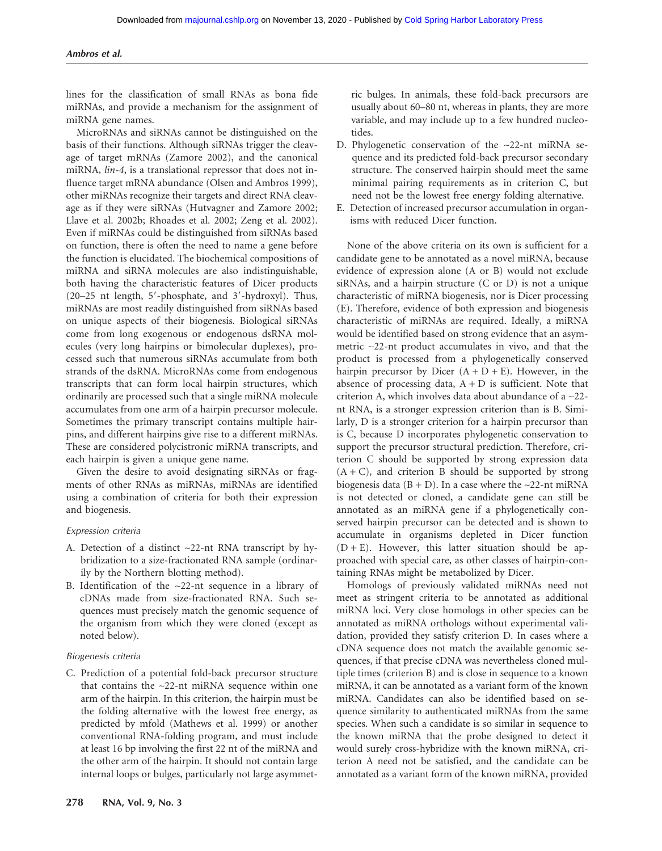lines for the classification of small RNAs as bona fide miRNAs, and provide a mechanism for the assignment of miRNA gene names.

MicroRNAs and siRNAs cannot be distinguished on the basis of their functions. Although siRNAs trigger the cleavage of target mRNAs (Zamore 2002), and the canonical miRNA, *lin-4*, is a translational repressor that does not influence target mRNA abundance (Olsen and Ambros 1999), other miRNAs recognize their targets and direct RNA cleavage as if they were siRNAs (Hutvagner and Zamore 2002; Llave et al. 2002b; Rhoades et al. 2002; Zeng et al. 2002). Even if miRNAs could be distinguished from siRNAs based on function, there is often the need to name a gene before the function is elucidated. The biochemical compositions of miRNA and siRNA molecules are also indistinguishable, both having the characteristic features of Dicer products (20–25 nt length,  $5'$ -phosphate, and  $3'$ -hydroxyl). Thus, miRNAs are most readily distinguished from siRNAs based on unique aspects of their biogenesis. Biological siRNAs come from long exogenous or endogenous dsRNA molecules (very long hairpins or bimolecular duplexes), processed such that numerous siRNAs accumulate from both strands of the dsRNA. MicroRNAs come from endogenous transcripts that can form local hairpin structures, which ordinarily are processed such that a single miRNA molecule accumulates from one arm of a hairpin precursor molecule. Sometimes the primary transcript contains multiple hairpins, and different hairpins give rise to a different miRNAs. These are considered polycistronic miRNA transcripts, and each hairpin is given a unique gene name.

Given the desire to avoid designating siRNAs or fragments of other RNAs as miRNAs, miRNAs are identified using a combination of criteria for both their expression and biogenesis.

#### Expression criteria

- A. Detection of a distinct ∼22-nt RNA transcript by hybridization to a size-fractionated RNA sample (ordinarily by the Northern blotting method).
- B. Identification of the ∼22-nt sequence in a library of cDNAs made from size-fractionated RNA. Such sequences must precisely match the genomic sequence of the organism from which they were cloned (except as noted below).

#### Biogenesis criteria

C. Prediction of a potential fold-back precursor structure that contains the ∼22-nt miRNA sequence within one arm of the hairpin. In this criterion, the hairpin must be the folding alternative with the lowest free energy, as predicted by mfold (Mathews et al. 1999) or another conventional RNA-folding program, and must include at least 16 bp involving the first 22 nt of the miRNA and the other arm of the hairpin. It should not contain large internal loops or bulges, particularly not large asymmetric bulges. In animals, these fold-back precursors are usually about 60–80 nt, whereas in plants, they are more variable, and may include up to a few hundred nucleotides.

- D. Phylogenetic conservation of the ∼22-nt miRNA sequence and its predicted fold-back precursor secondary structure. The conserved hairpin should meet the same minimal pairing requirements as in criterion C, but need not be the lowest free energy folding alternative.
- E. Detection of increased precursor accumulation in organisms with reduced Dicer function.

None of the above criteria on its own is sufficient for a candidate gene to be annotated as a novel miRNA, because evidence of expression alone (A or B) would not exclude siRNAs, and a hairpin structure (C or D) is not a unique characteristic of miRNA biogenesis, nor is Dicer processing (E). Therefore, evidence of both expression and biogenesis characteristic of miRNAs are required. Ideally, a miRNA would be identified based on strong evidence that an asymmetric ∼22-nt product accumulates in vivo, and that the product is processed from a phylogenetically conserved hairpin precursor by Dicer  $(A + D + E)$ . However, in the absence of processing data,  $A + D$  is sufficient. Note that criterion A, which involves data about abundance of a ∼22 nt RNA, is a stronger expression criterion than is B. Similarly, D is a stronger criterion for a hairpin precursor than is C, because D incorporates phylogenetic conservation to support the precursor structural prediction. Therefore, criterion C should be supported by strong expression data  $(A + C)$ , and criterion B should be supported by strong biogenesis data (B + D). In a case where the ∼22-nt miRNA is not detected or cloned, a candidate gene can still be annotated as an miRNA gene if a phylogenetically conserved hairpin precursor can be detected and is shown to accumulate in organisms depleted in Dicer function  $(D + E)$ . However, this latter situation should be approached with special care, as other classes of hairpin-containing RNAs might be metabolized by Dicer.

Homologs of previously validated miRNAs need not meet as stringent criteria to be annotated as additional miRNA loci. Very close homologs in other species can be annotated as miRNA orthologs without experimental validation, provided they satisfy criterion D. In cases where a cDNA sequence does not match the available genomic sequences, if that precise cDNA was nevertheless cloned multiple times (criterion B) and is close in sequence to a known miRNA, it can be annotated as a variant form of the known miRNA. Candidates can also be identified based on sequence similarity to authenticated miRNAs from the same species. When such a candidate is so similar in sequence to the known miRNA that the probe designed to detect it would surely cross-hybridize with the known miRNA, criterion A need not be satisfied, and the candidate can be annotated as a variant form of the known miRNA, provided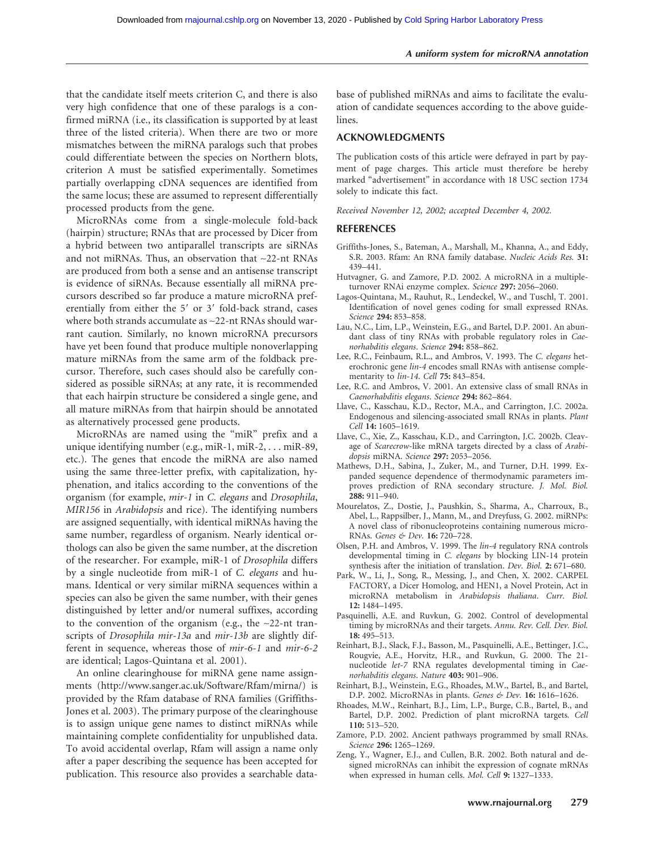that the candidate itself meets criterion C, and there is also very high confidence that one of these paralogs is a confirmed miRNA (i.e., its classification is supported by at least three of the listed criteria). When there are two or more mismatches between the miRNA paralogs such that probes could differentiate between the species on Northern blots, criterion A must be satisfied experimentally. Sometimes partially overlapping cDNA sequences are identified from the same locus; these are assumed to represent differentially processed products from the gene.

MicroRNAs come from a single-molecule fold-back (hairpin) structure; RNAs that are processed by Dicer from a hybrid between two antiparallel transcripts are siRNAs and not miRNAs. Thus, an observation that ∼22-nt RNAs are produced from both a sense and an antisense transcript is evidence of siRNAs. Because essentially all miRNA precursors described so far produce a mature microRNA preferentially from either the 5' or 3' fold-back strand, cases where both strands accumulate as ∼22-nt RNAs should warrant caution. Similarly, no known microRNA precursors have yet been found that produce multiple nonoverlapping mature miRNAs from the same arm of the foldback precursor. Therefore, such cases should also be carefully considered as possible siRNAs; at any rate, it is recommended that each hairpin structure be considered a single gene, and all mature miRNAs from that hairpin should be annotated as alternatively processed gene products.

MicroRNAs are named using the "miR" prefix and a unique identifying number (e.g., miR-1, miR-2, . . . miR-89, etc.). The genes that encode the miRNA are also named using the same three-letter prefix, with capitalization, hyphenation, and italics according to the conventions of the organism (for example, *mir-1* in *C. elegans* and *Drosophila*, *MIR156* in *Arabidopsis* and rice). The identifying numbers are assigned sequentially, with identical miRNAs having the same number, regardless of organism. Nearly identical orthologs can also be given the same number, at the discretion of the researcher. For example, miR-1 of *Drosophila* differs by a single nucleotide from miR-1 of *C. elegans* and humans. Identical or very similar miRNA sequences within a species can also be given the same number, with their genes distinguished by letter and/or numeral suffixes, according to the convention of the organism (e.g., the ∼22-nt transcripts of *Drosophila mir-13a* and *mir-13b* are slightly different in sequence, whereas those of *mir-6*-*1* and *mir-6*-*2* are identical; Lagos-Quintana et al. 2001).

An online clearinghouse for miRNA gene name assignments (http://www.sanger.ac.uk/Software/Rfam/mirna/) is provided by the Rfam database of RNA families (Griffiths-Jones et al. 2003). The primary purpose of the clearinghouse is to assign unique gene names to distinct miRNAs while maintaining complete confidentiality for unpublished data. To avoid accidental overlap, Rfam will assign a name only after a paper describing the sequence has been accepted for publication. This resource also provides a searchable database of published miRNAs and aims to facilitate the evaluation of candidate sequences according to the above guidelines.

#### **ACKNOWLEDGMENTS**

The publication costs of this article were defrayed in part by payment of page charges. This article must therefore be hereby marked "advertisement" in accordance with 18 USC section 1734 solely to indicate this fact.

*Received November 12, 2002; accepted December 4, 2002.*

#### **REFERENCES**

- Griffiths-Jones, S., Bateman, A., Marshall, M., Khanna, A., and Eddy, S.R. 2003. Rfam: An RNA family database. *Nucleic Acids Res.* **31:** 439–441.
- Hutvagner, G. and Zamore, P.D. 2002. A microRNA in a multipleturnover RNAi enzyme complex. *Science* **297:** 2056–2060.
- Lagos-Quintana, M., Rauhut, R., Lendeckel, W., and Tuschl, T. 2001. Identification of novel genes coding for small expressed RNAs. *Science* **294:** 853–858.
- Lau, N.C., Lim, L.P., Weinstein, E.G., and Bartel, D.P. 2001. An abundant class of tiny RNAs with probable regulatory roles in *Caenorhabditis elegans*. *Science* **294:** 858–862.
- Lee, R.C., Feinbaum, R.L., and Ambros, V. 1993. The *C. elegans* heterochronic gene *lin-4* encodes small RNAs with antisense complementarity to *lin-14*. *Cell* **75:** 843–854.
- Lee, R.C. and Ambros, V. 2001. An extensive class of small RNAs in *Caenorhabditis elegans*. *Science* **294:** 862–864.
- Llave, C., Kasschau, K.D., Rector, M.A., and Carrington, J.C. 2002a. Endogenous and silencing-associated small RNAs in plants. *Plant Cell* **14:** 1605–1619.
- Llave, C., Xie, Z., Kasschau, K.D., and Carrington, J.C. 2002b. Cleavage of *Scarecrow*-like mRNA targets directed by a class of *Arabidopsis* miRNA. *Science* **297:** 2053–2056.
- Mathews, D.H., Sabina, J., Zuker, M., and Turner, D.H. 1999. Expanded sequence dependence of thermodynamic parameters improves prediction of RNA secondary structure. *J. Mol. Biol.* **288:** 911–940.
- Mourelatos, Z., Dostie, J., Paushkin, S., Sharma, A., Charroux, B., Abel, L., Rappsilber, J., Mann, M., and Dreyfuss, G. 2002. miRNPs: A novel class of ribonucleoproteins containing numerous micro-RNAs. *Genes & Dev.* **16:** 720–728.
- Olsen, P.H. and Ambros, V. 1999. The *lin-4* regulatory RNA controls developmental timing in *C. elegans* by blocking LIN-14 protein synthesis after the initiation of translation. *Dev. Biol.* **2:** 671–680.
- Park, W., Li, J., Song, R., Messing, J., and Chen, X. 2002. CARPEL FACTORY, a Dicer Homolog, and HEN1, a Novel Protein, Act in microRNA metabolism in *Arabidopsis thaliana*. *Curr. Biol.* **12:** 1484–1495.
- Pasquinelli, A.E. and Ruvkun, G. 2002. Control of developmental timing by microRNAs and their targets. *Annu. Rev. Cell. Dev. Biol.* **18:** 495–513.
- Reinhart, B.J., Slack, F.J., Basson, M., Pasquinelli, A.E., Bettinger, J.C., Rougvie, A.E., Horvitz, H.R., and Ruvkun, G. 2000. The 21 nucleotide *let-7* RNA regulates developmental timing in *Caenorhabditis elegans*. *Nature* **403:** 901–906.
- Reinhart, B.J., Weinstein, E.G., Rhoades, M.W., Bartel, B., and Bartel, D.P. 2002. MicroRNAs in plants. *Genes & Dev.* **16:** 1616–1626.
- Rhoades, M.W., Reinhart, B.J., Lim, L.P., Burge, C.B., Bartel, B., and Bartel, D.P. 2002. Prediction of plant microRNA targets*. Cell* **110:** 513–520.
- Zamore, P.D. 2002. Ancient pathways programmed by small RNAs. *Science* **296:** 1265–1269.
- Zeng, Y., Wagner, E.J., and Cullen, B.R. 2002. Both natural and designed microRNAs can inhibit the expression of cognate mRNAs when expressed in human cells. *Mol. Cell* **9:** 1327–1333.